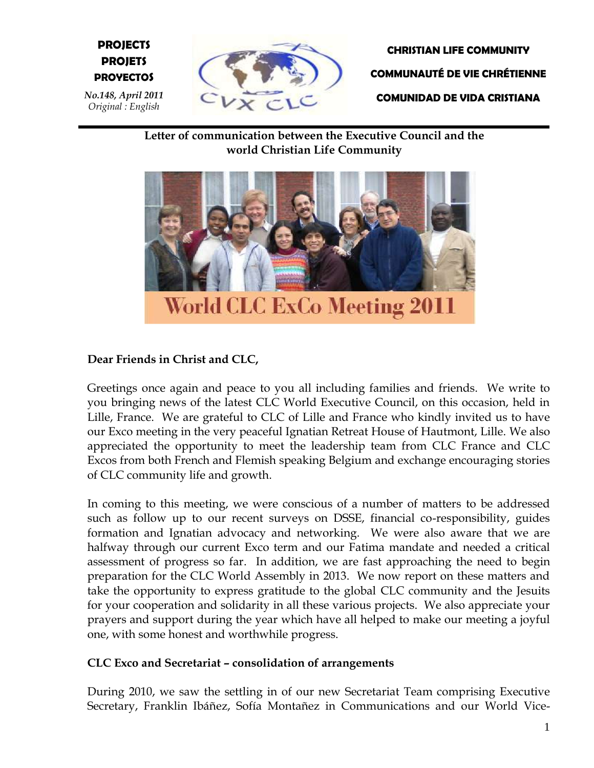# **E PROYECTOS PROJECTS PROJETS**

*No.148, April 2011 Original : English*



**CHRISTIAN LIFE COMMUNITY COMMUNAUTÉ DE VIE CHRÉTIENNE COMUNIDAD DE VIDA CRISTIANA**

**Letter of communication between the Executive Council and the world Christian Life Community**



# **Dear Friends in Christ and CLC,**

Greetings once again and peace to you all including families and friends. We write to you bringing news of the latest CLC World Executive Council, on this occasion, held in Lille, France. We are grateful to CLC of Lille and France who kindly invited us to have our Exco meeting in the very peaceful Ignatian Retreat House of Hautmont, Lille. We also appreciated the opportunity to meet the leadership team from CLC France and CLC Excos from both French and Flemish speaking Belgium and exchange encouraging stories of CLC community life and growth.

In coming to this meeting, we were conscious of a number of matters to be addressed such as follow up to our recent surveys on DSSE, financial co-responsibility, guides formation and Ignatian advocacy and networking. We were also aware that we are halfway through our current Exco term and our Fatima mandate and needed a critical assessment of progress so far. In addition, we are fast approaching the need to begin preparation for the CLC World Assembly in 2013. We now report on these matters and take the opportunity to express gratitude to the global CLC community and the Jesuits for your cooperation and solidarity in all these various projects. We also appreciate your prayers and support during the year which have all helped to make our meeting a joyful one, with some honest and worthwhile progress.

#### **CLC Exco and Secretariat – consolidation of arrangements**

During 2010, we saw the settling in of our new Secretariat Team comprising Executive Secretary, Franklin Ibáñez, Sofía Montañez in Communications and our World Vice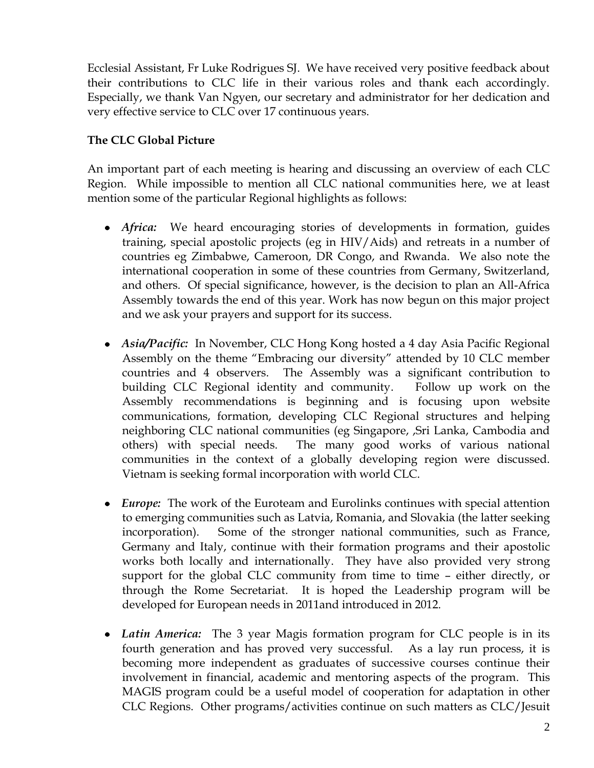Ecclesial Assistant, Fr Luke Rodrigues SJ. We have received very positive feedback about their contributions to CLC life in their various roles and thank each accordingly. Especially, we thank Van Ngyen, our secretary and administrator for her dedication and very effective service to CLC over 17 continuous years.

#### **The CLC Global Picture**

An important part of each meeting is hearing and discussing an overview of each CLC Region. While impossible to mention all CLC national communities here, we at least mention some of the particular Regional highlights as follows:

- *Africa:* We heard encouraging stories of developments in formation, guides training, special apostolic projects (eg in HIV/Aids) and retreats in a number of countries eg Zimbabwe, Cameroon, DR Congo, and Rwanda. We also note the international cooperation in some of these countries from Germany, Switzerland, and others. Of special significance, however, is the decision to plan an All-Africa Assembly towards the end of this year. Work has now begun on this major project and we ask your prayers and support for its success.
- *Asia/Pacific:* In November, CLC Hong Kong hosted a 4 day Asia Pacific Regional Assembly on the theme "Embracing our diversity" attended by 10 CLC member countries and 4 observers. The Assembly was a significant contribution to building CLC Regional identity and community. Follow up work on the Assembly recommendations is beginning and is focusing upon website communications, formation, developing CLC Regional structures and helping neighboring CLC national communities (eg Singapore, ,Sri Lanka, Cambodia and others) with special needs. The many good works of various national communities in the context of a globally developing region were discussed. Vietnam is seeking formal incorporation with world CLC.
- *Europe:* The work of the Euroteam and Eurolinks continues with special attention to emerging communities such as Latvia, Romania, and Slovakia (the latter seeking incorporation). Some of the stronger national communities, such as France, Germany and Italy, continue with their formation programs and their apostolic works both locally and internationally. They have also provided very strong support for the global CLC community from time to time – either directly, or through the Rome Secretariat. It is hoped the Leadership program will be developed for European needs in 2011and introduced in 2012.
- *Latin America:* The 3 year Magis formation program for CLC people is in its fourth generation and has proved very successful. As a lay run process, it is becoming more independent as graduates of successive courses continue their involvement in financial, academic and mentoring aspects of the program. This MAGIS program could be a useful model of cooperation for adaptation in other CLC Regions. Other programs/activities continue on such matters as CLC/Jesuit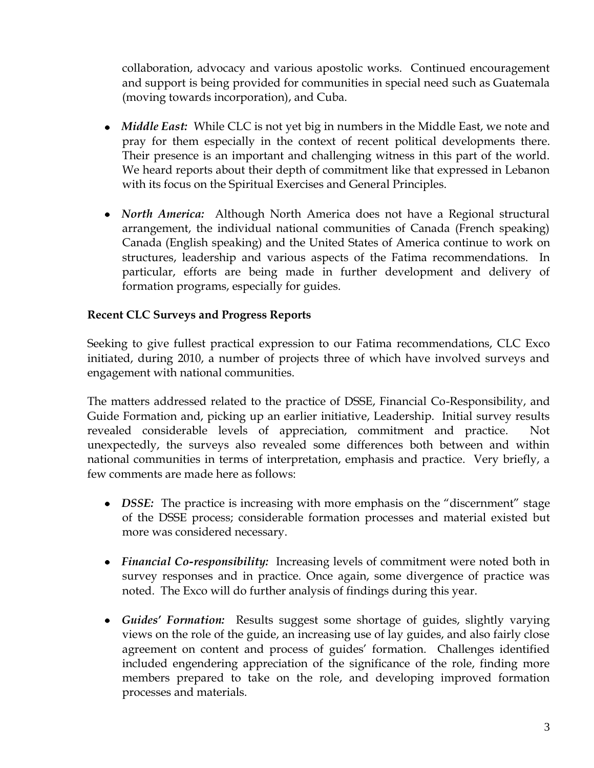collaboration, advocacy and various apostolic works. Continued encouragement and support is being provided for communities in special need such as Guatemala (moving towards incorporation), and Cuba.

- *Middle East:* While CLC is not yet big in numbers in the Middle East, we note and pray for them especially in the context of recent political developments there. Their presence is an important and challenging witness in this part of the world. We heard reports about their depth of commitment like that expressed in Lebanon with its focus on the Spiritual Exercises and General Principles.
- *North America:* Although North America does not have a Regional structural arrangement, the individual national communities of Canada (French speaking) Canada (English speaking) and the United States of America continue to work on structures, leadership and various aspects of the Fatima recommendations. In particular, efforts are being made in further development and delivery of formation programs, especially for guides.

### **Recent CLC Surveys and Progress Reports**

Seeking to give fullest practical expression to our Fatima recommendations, CLC Exco initiated, during 2010, a number of projects three of which have involved surveys and engagement with national communities.

The matters addressed related to the practice of DSSE, Financial Co-Responsibility, and Guide Formation and, picking up an earlier initiative, Leadership. Initial survey results revealed considerable levels of appreciation, commitment and practice. Not unexpectedly, the surveys also revealed some differences both between and within national communities in terms of interpretation, emphasis and practice. Very briefly, a few comments are made here as follows:

- *DSSE:* The practice is increasing with more emphasis on the "discernment" stage of the DSSE process; considerable formation processes and material existed but more was considered necessary.
- *Financial Co-responsibility:* Increasing levels of commitment were noted both in survey responses and in practice. Once again, some divergence of practice was noted. The Exco will do further analysis of findings during this year.
- *Guides' Formation:* Results suggest some shortage of guides, slightly varying views on the role of the guide, an increasing use of lay guides, and also fairly close agreement on content and process of guides' formation. Challenges identified included engendering appreciation of the significance of the role, finding more members prepared to take on the role, and developing improved formation processes and materials.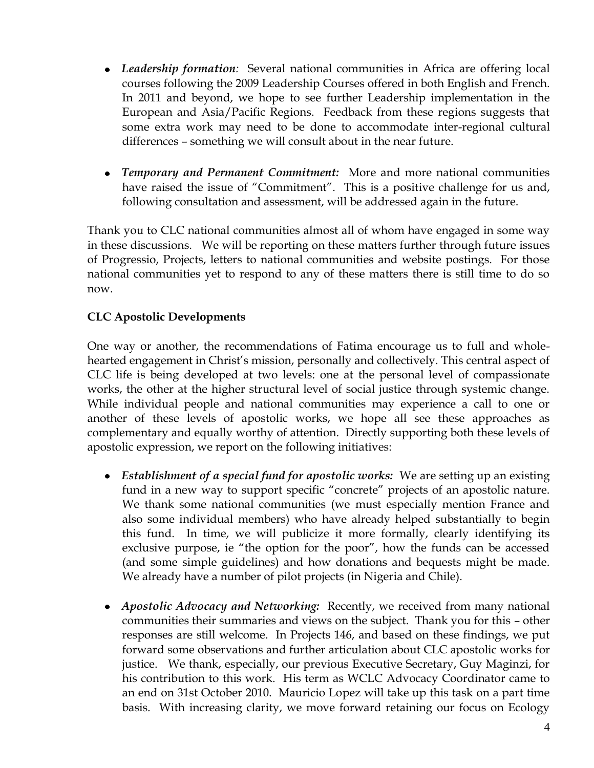- *Leadership formation:* Several national communities in Africa are offering local courses following the 2009 Leadership Courses offered in both English and French. In 2011 and beyond, we hope to see further Leadership implementation in the European and Asia/Pacific Regions. Feedback from these regions suggests that some extra work may need to be done to accommodate inter-regional cultural differences – something we will consult about in the near future.
- *Temporary and Permanent Commitment:* More and more national communities have raised the issue of "Commitment". This is a positive challenge for us and, following consultation and assessment, will be addressed again in the future.

Thank you to CLC national communities almost all of whom have engaged in some way in these discussions. We will be reporting on these matters further through future issues of Progressio, Projects, letters to national communities and website postings. For those national communities yet to respond to any of these matters there is still time to do so now.

### **CLC Apostolic Developments**

One way or another, the recommendations of Fatima encourage us to full and wholehearted engagement in Christ's mission, personally and collectively. This central aspect of CLC life is being developed at two levels: one at the personal level of compassionate works, the other at the higher structural level of social justice through systemic change. While individual people and national communities may experience a call to one or another of these levels of apostolic works, we hope all see these approaches as complementary and equally worthy of attention. Directly supporting both these levels of apostolic expression, we report on the following initiatives:

- *Establishment of a special fund for apostolic works:* We are setting up an existing fund in a new way to support specific "concrete" projects of an apostolic nature. We thank some national communities (we must especially mention France and also some individual members) who have already helped substantially to begin this fund. In time, we will publicize it more formally, clearly identifying its exclusive purpose, ie "the option for the poor", how the funds can be accessed (and some simple guidelines) and how donations and bequests might be made. We already have a number of pilot projects (in Nigeria and Chile).
- *Apostolic Advocacy and Networking:* Recently, we received from many national communities their summaries and views on the subject. Thank you for this – other responses are still welcome. In Projects 146, and based on these findings, we put forward some observations and further articulation about CLC apostolic works for justice. We thank, especially, our previous Executive Secretary, Guy Maginzi, for his contribution to this work. His term as WCLC Advocacy Coordinator came to an end on 31st October 2010. Mauricio Lopez will take up this task on a part time basis. With increasing clarity, we move forward retaining our focus on Ecology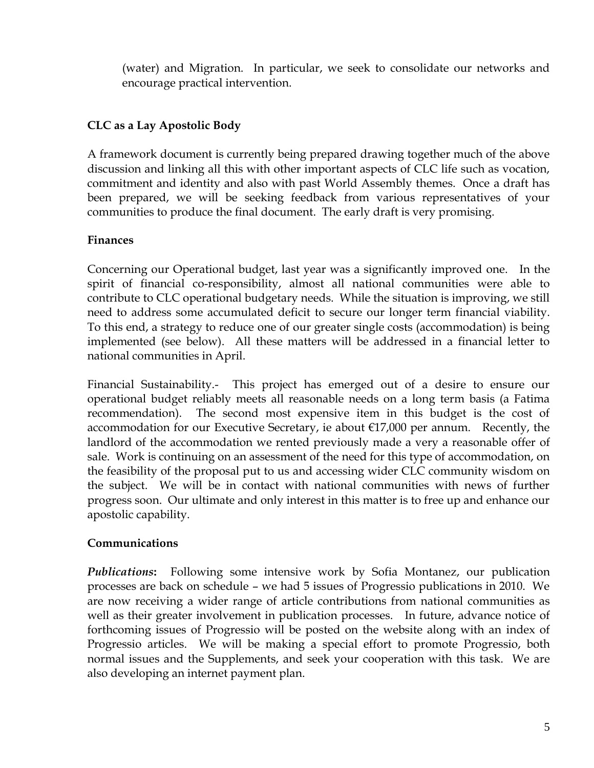(water) and Migration. In particular, we seek to consolidate our networks and encourage practical intervention.

# **CLC as a Lay Apostolic Body**

A framework document is currently being prepared drawing together much of the above discussion and linking all this with other important aspects of CLC life such as vocation, commitment and identity and also with past World Assembly themes. Once a draft has been prepared, we will be seeking feedback from various representatives of your communities to produce the final document. The early draft is very promising.

# **Finances**

Concerning our Operational budget, last year was a significantly improved one. In the spirit of financial co-responsibility, almost all national communities were able to contribute to CLC operational budgetary needs. While the situation is improving, we still need to address some accumulated deficit to secure our longer term financial viability. To this end, a strategy to reduce one of our greater single costs (accommodation) is being implemented (see below). All these matters will be addressed in a financial letter to national communities in April.

Financial Sustainability.- This project has emerged out of a desire to ensure our operational budget reliably meets all reasonable needs on a long term basis (a Fatima recommendation). The second most expensive item in this budget is the cost of accommodation for our Executive Secretary, ie about  $\epsilon$ 17,000 per annum. Recently, the landlord of the accommodation we rented previously made a very a reasonable offer of sale. Work is continuing on an assessment of the need for this type of accommodation, on the feasibility of the proposal put to us and accessing wider CLC community wisdom on the subject. We will be in contact with national communities with news of further progress soon. Our ultimate and only interest in this matter is to free up and enhance our apostolic capability.

# **Communications**

*Publications***:** Following some intensive work by Sofia Montanez, our publication processes are back on schedule – we had 5 issues of Progressio publications in 2010. We are now receiving a wider range of article contributions from national communities as well as their greater involvement in publication processes. In future, advance notice of forthcoming issues of Progressio will be posted on the website along with an index of Progressio articles. We will be making a special effort to promote Progressio, both normal issues and the Supplements, and seek your cooperation with this task. We are also developing an internet payment plan.